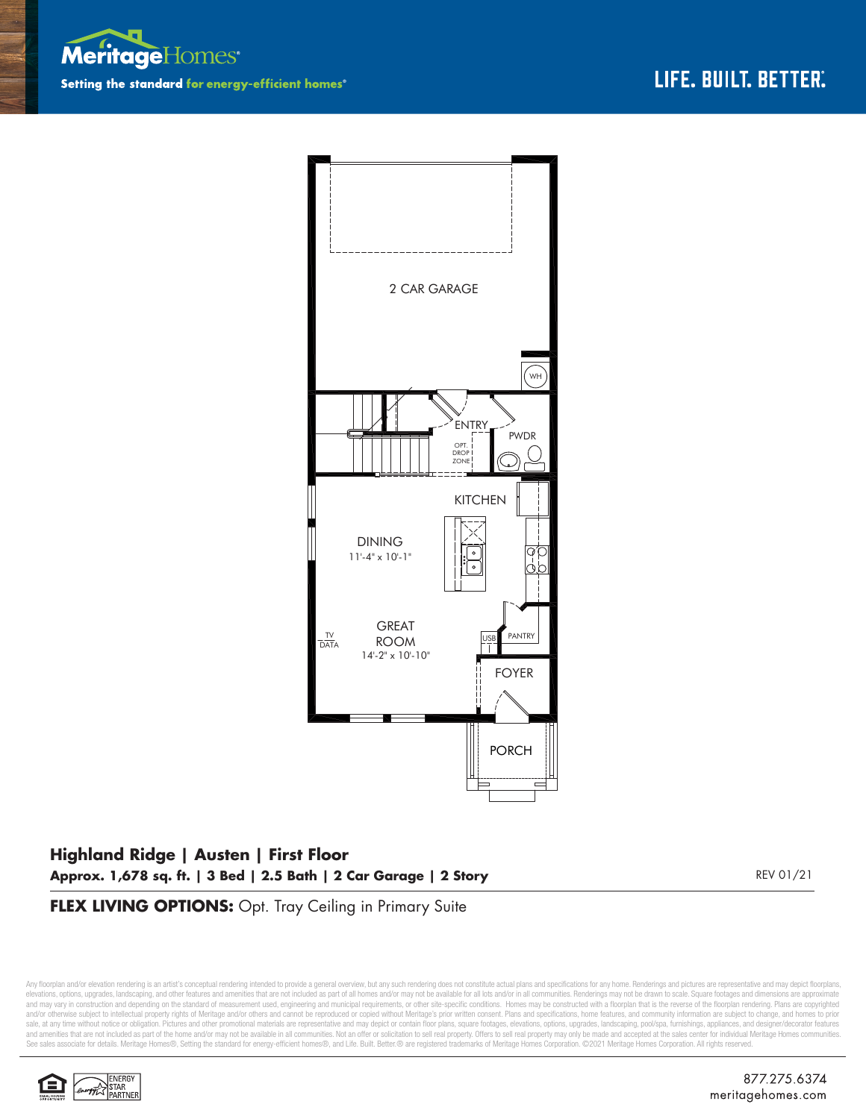



## **Highland Ridge | Austen | First Floor Approx. 1,678 sq. ft. | 3 Bed | 2.5 Bath | 2 Car Garage | 2 Story** REV 01/21

**FLEX LIVING OPTIONS:** Opt. Tray Ceiling in Primary Suite

Any floorplan and/or elevation rendering is an artist's conceptual rendering intended to provide a general overview, but any such rendering does not constitute actual plans and specifications for any home. Renderings and p elevations, options, upgrades, landscaping, and other features and amenities that are not included as part of all homes and/or may not be available for all lots and/or in all communities. Renderings may not be drawn to sca and may vary in construction and depending on the standard of measurement used, engineering and municipal requirements, or other site-specific conditions. Homes may be constructed with a floorplan that is the reverse of th and/or otherwise subject to intellectual property rights of Meritage and/or others and cannot be reproduced or copied without Meritage's prior written consent. Plans and specifications, home features, and community informa sale, at any time without notice or obligation. Pictures and other promotional materials are representative and may depict or contain floor plans, square footages, elevations, options, upgrades, landscaping, pool/spa, furn See sales associate for details. Meritage Homes®, Setting the standard for energy-efficient homes®, and Life. Built. Better. @ are registered trademarks of Meritage Homes Corporation. ©2021 Meritage Homes Corporation. All